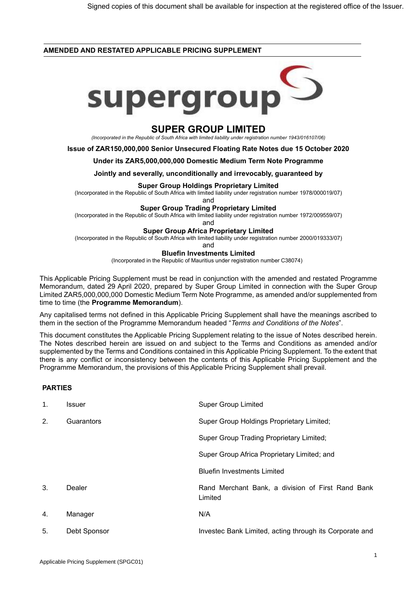## **AMENDED AND RESTATED APPLICABLE PRICING SUPPLEMENT**



# **SUPER GROUP LIMITED**

*(Incorporated in the Republic of South Africa with limited liability under registration number 1943/016107/06)*

**Issue of ZAR150,000,000 Senior Unsecured Floating Rate Notes due 15 October 2020**

### **Under its ZAR5,000,000,000 Domestic Medium Term Note Programme**

**Jointly and severally, unconditionally and irrevocably, guaranteed by**

#### **Super Group Holdings Proprietary Limited**

(Incorporated in the Republic of South Africa with limited liability under registration number 1978/000019/07)

and

#### **Super Group Trading Proprietary Limited**

(Incorporated in the Republic of South Africa with limited liability under registration number 1972/009559/07)

and

## **Super Group Africa Proprietary Limited**

(Incorporated in the Republic of South Africa with limited liability under registration number 2000/019333/07)

and

#### **Bluefin Investments Limited**

(Incorporated in the Republic of Mauritius under registration number C38074)

This Applicable Pricing Supplement must be read in conjunction with the amended and restated Programme Memorandum, dated 29 April 2020, prepared by Super Group Limited in connection with the Super Group Limited ZAR5,000,000,000 Domestic Medium Term Note Programme, as amended and/or supplemented from time to time (the **Programme Memorandum**).

Any capitalised terms not defined in this Applicable Pricing Supplement shall have the meanings ascribed to them in the section of the Programme Memorandum headed "*Terms and Conditions of the Notes*".

This document constitutes the Applicable Pricing Supplement relating to the issue of Notes described herein. The Notes described herein are issued on and subject to the Terms and Conditions as amended and/or supplemented by the Terms and Conditions contained in this Applicable Pricing Supplement. To the extent that there is any conflict or inconsistency between the contents of this Applicable Pricing Supplement and the Programme Memorandum, the provisions of this Applicable Pricing Supplement shall prevail.

# **PARTIES**

| $\mathbf{1}$ . | Issuer       | <b>Super Group Limited</b>                                   |
|----------------|--------------|--------------------------------------------------------------|
| 2.             | Guarantors   | Super Group Holdings Proprietary Limited;                    |
|                |              | <b>Super Group Trading Proprietary Limited;</b>              |
|                |              | Super Group Africa Proprietary Limited; and                  |
|                |              | <b>Bluefin Investments Limited</b>                           |
| 3.             | Dealer       | Rand Merchant Bank, a division of First Rand Bank<br>Limited |
| 4.             | Manager      | N/A                                                          |
| 5.             | Debt Sponsor | Investec Bank Limited, acting through its Corporate and      |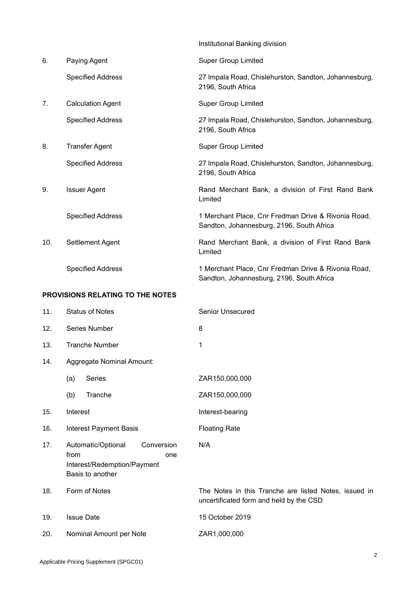|     |                                  | Institutional Banking division                                                                   |
|-----|----------------------------------|--------------------------------------------------------------------------------------------------|
| 6.  | Paying Agent                     | <b>Super Group Limited</b>                                                                       |
|     | <b>Specified Address</b>         | 27 Impala Road, Chislehurston, Sandton, Johannesburg,<br>2196, South Africa                      |
| 7.  | <b>Calculation Agent</b>         | <b>Super Group Limited</b>                                                                       |
|     | <b>Specified Address</b>         | 27 Impala Road, Chislehurston, Sandton, Johannesburg,<br>2196, South Africa                      |
| 8.  | <b>Transfer Agent</b>            | <b>Super Group Limited</b>                                                                       |
|     | <b>Specified Address</b>         | 27 Impala Road, Chislehurston, Sandton, Johannesburg,<br>2196, South Africa                      |
| 9.  | <b>Issuer Agent</b>              | Rand Merchant Bank, a division of First Rand Bank<br>Limited                                     |
|     | <b>Specified Address</b>         | 1 Merchant Place, Cnr Fredman Drive & Rivonia Road,<br>Sandton, Johannesburg, 2196, South Africa |
| 10. | Settlement Agent                 | Rand Merchant Bank, a division of First Rand Bank<br>Limited                                     |
|     | <b>Specified Address</b>         | 1 Merchant Place, Cnr Fredman Drive & Rivonia Road,<br>Sandton, Johannesburg, 2196, South Africa |
|     | PROVISIONS RELATING TO THE NOTES |                                                                                                  |
| 11. | <b>Status of Notes</b>           | <b>Senior Unsecured</b>                                                                          |
| 12. | Series Number                    | 8                                                                                                |
| 13. | <b>Tranche Number</b>            | 1                                                                                                |
| 14. | Aggregate Nominal Amount:        |                                                                                                  |
|     | (a)<br>Series                    | ZAR150,000,000                                                                                   |
|     | Tranche<br>(b)                   | ZAR150,000,000                                                                                   |

- 15. Interest **Interest**
- 16. Interest Payment Basis Floating Rate
- 17. Automatic/Optional Conversion from one Interest/Redemption/Payment Basis to another
- 
- 19. Issue Date 15 October 2019
- 20. Nominal Amount per Note ZAR1,000,000

18. Form of Notes The Notes in this Tranche are listed Notes, issued in uncertificated form and held by the CSD

N/A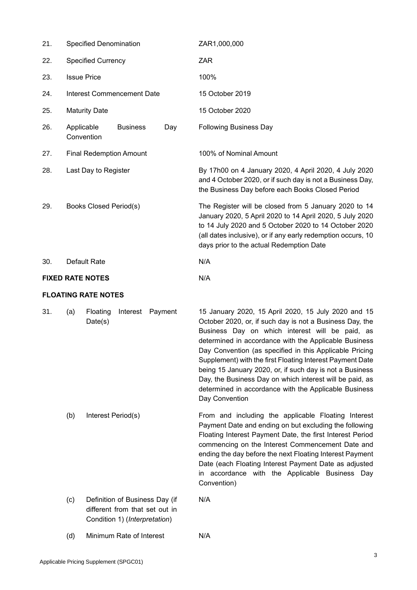| 21. | Specified Denomination        |                            |                                                                                                   |     | ZAR1,000,000                                                                                                                                                                                                                                                                                                                                                                                                                                                                                                                                           |
|-----|-------------------------------|----------------------------|---------------------------------------------------------------------------------------------------|-----|--------------------------------------------------------------------------------------------------------------------------------------------------------------------------------------------------------------------------------------------------------------------------------------------------------------------------------------------------------------------------------------------------------------------------------------------------------------------------------------------------------------------------------------------------------|
| 22. | <b>Specified Currency</b>     |                            |                                                                                                   |     | ZAR                                                                                                                                                                                                                                                                                                                                                                                                                                                                                                                                                    |
| 23. | <b>Issue Price</b>            |                            |                                                                                                   |     | 100%                                                                                                                                                                                                                                                                                                                                                                                                                                                                                                                                                   |
| 24. |                               |                            | <b>Interest Commencement Date</b>                                                                 |     | 15 October 2019                                                                                                                                                                                                                                                                                                                                                                                                                                                                                                                                        |
| 25. | <b>Maturity Date</b>          |                            |                                                                                                   |     | 15 October 2020                                                                                                                                                                                                                                                                                                                                                                                                                                                                                                                                        |
| 26. | Applicable<br>Convention      |                            | <b>Business</b>                                                                                   | Day | <b>Following Business Day</b>                                                                                                                                                                                                                                                                                                                                                                                                                                                                                                                          |
| 27. |                               |                            | <b>Final Redemption Amount</b>                                                                    |     | 100% of Nominal Amount                                                                                                                                                                                                                                                                                                                                                                                                                                                                                                                                 |
| 28. | Last Day to Register          |                            |                                                                                                   |     | By 17h00 on 4 January 2020, 4 April 2020, 4 July 2020<br>and 4 October 2020, or if such day is not a Business Day,<br>the Business Day before each Books Closed Period                                                                                                                                                                                                                                                                                                                                                                                 |
| 29. | <b>Books Closed Period(s)</b> |                            |                                                                                                   |     | The Register will be closed from 5 January 2020 to 14<br>January 2020, 5 April 2020 to 14 April 2020, 5 July 2020<br>to 14 July 2020 and 5 October 2020 to 14 October 2020<br>(all dates inclusive), or if any early redemption occurs, 10<br>days prior to the actual Redemption Date                                                                                                                                                                                                                                                                 |
| 30. |                               | Default Rate               |                                                                                                   |     | N/A                                                                                                                                                                                                                                                                                                                                                                                                                                                                                                                                                    |
|     |                               | <b>FIXED RATE NOTES</b>    |                                                                                                   |     | N/A                                                                                                                                                                                                                                                                                                                                                                                                                                                                                                                                                    |
|     |                               |                            |                                                                                                   |     |                                                                                                                                                                                                                                                                                                                                                                                                                                                                                                                                                        |
|     |                               | <b>FLOATING RATE NOTES</b> |                                                                                                   |     |                                                                                                                                                                                                                                                                                                                                                                                                                                                                                                                                                        |
| 31. | (a)                           | Floating<br>Date(s)        | Interest Payment                                                                                  |     | 15 January 2020, 15 April 2020, 15 July 2020 and 15<br>October 2020, or, if such day is not a Business Day, the<br>Business Day on which interest will be paid, as<br>determined in accordance with the Applicable Business<br>Day Convention (as specified in this Applicable Pricing<br>Supplement) with the first Floating Interest Payment Date<br>being 15 January 2020, or, if such day is not a Business<br>Day, the Business Day on which interest will be paid, as<br>determined in accordance with the Applicable Business<br>Day Convention |
|     | (b)                           | Interest Period(s)         |                                                                                                   |     | From and including the applicable Floating Interest<br>Floating Interest Payment Date, the first Interest Period<br>commencing on the Interest Commencement Date and<br>ending the day before the next Floating Interest Payment<br>Date (each Floating Interest Payment Date as adjusted<br>in accordance with the Applicable Business Day<br>Convention)                                                                                                                                                                                             |
|     | (c)                           |                            | Definition of Business Day (if<br>different from that set out in<br>Condition 1) (Interpretation) |     | Payment Date and ending on but excluding the following<br>N/A                                                                                                                                                                                                                                                                                                                                                                                                                                                                                          |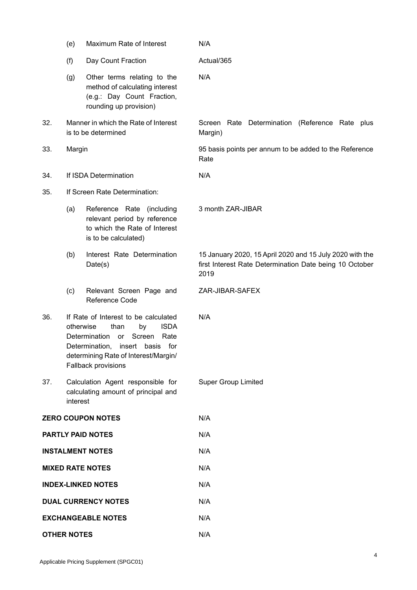|                    | (e)                                                                                                                                                                                                                              | Maximum Rate of Interest                                                                                              | N/A                                                                                                                         |
|--------------------|----------------------------------------------------------------------------------------------------------------------------------------------------------------------------------------------------------------------------------|-----------------------------------------------------------------------------------------------------------------------|-----------------------------------------------------------------------------------------------------------------------------|
|                    | (f)                                                                                                                                                                                                                              | Day Count Fraction                                                                                                    | Actual/365                                                                                                                  |
|                    | (g)                                                                                                                                                                                                                              | Other terms relating to the<br>method of calculating interest<br>(e.g.: Day Count Fraction,<br>rounding up provision) | N/A                                                                                                                         |
| 32.                |                                                                                                                                                                                                                                  | Manner in which the Rate of Interest<br>is to be determined                                                           | Screen Rate Determination (Reference Rate plus<br>Margin)                                                                   |
| 33.                | Margin                                                                                                                                                                                                                           |                                                                                                                       | 95 basis points per annum to be added to the Reference<br>Rate                                                              |
| 34.                |                                                                                                                                                                                                                                  | If ISDA Determination                                                                                                 | N/A                                                                                                                         |
| 35.                |                                                                                                                                                                                                                                  | If Screen Rate Determination:                                                                                         |                                                                                                                             |
|                    | (a)                                                                                                                                                                                                                              | Reference Rate (including<br>relevant period by reference<br>to which the Rate of Interest<br>is to be calculated)    | 3 month ZAR-JIBAR                                                                                                           |
|                    | (b)                                                                                                                                                                                                                              | Interest Rate Determination<br>Date(s)                                                                                | 15 January 2020, 15 April 2020 and 15 July 2020 with the<br>first Interest Rate Determination Date being 10 October<br>2019 |
|                    | (c)                                                                                                                                                                                                                              | Relevant Screen Page and<br>Reference Code                                                                            | ZAR-JIBAR-SAFEX                                                                                                             |
| 36.                | If Rate of Interest to be calculated<br>otherwise<br><b>ISDA</b><br>than<br>by<br>Determination<br>Screen<br>Rate<br><b>or</b><br>Determination, insert basis for<br>determining Rate of Interest/Margin/<br>Fallback provisions |                                                                                                                       | N/A                                                                                                                         |
| 37.                | interest                                                                                                                                                                                                                         | Calculation Agent responsible for<br>calculating amount of principal and                                              | <b>Super Group Limited</b>                                                                                                  |
|                    |                                                                                                                                                                                                                                  | <b>ZERO COUPON NOTES</b>                                                                                              | N/A                                                                                                                         |
|                    |                                                                                                                                                                                                                                  | <b>PARTLY PAID NOTES</b>                                                                                              | N/A                                                                                                                         |
|                    |                                                                                                                                                                                                                                  | <b>INSTALMENT NOTES</b>                                                                                               | N/A                                                                                                                         |
|                    |                                                                                                                                                                                                                                  | <b>MIXED RATE NOTES</b>                                                                                               | N/A                                                                                                                         |
|                    |                                                                                                                                                                                                                                  | <b>INDEX-LINKED NOTES</b>                                                                                             | N/A                                                                                                                         |
|                    |                                                                                                                                                                                                                                  | <b>DUAL CURRENCY NOTES</b>                                                                                            | N/A                                                                                                                         |
|                    |                                                                                                                                                                                                                                  | <b>EXCHANGEABLE NOTES</b>                                                                                             | N/A                                                                                                                         |
| <b>OTHER NOTES</b> |                                                                                                                                                                                                                                  |                                                                                                                       | N/A                                                                                                                         |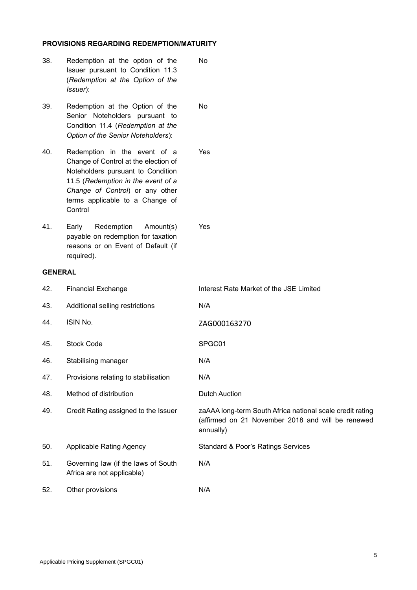# **PROVISIONS REGARDING REDEMPTION/MATURITY**

- 38. Redemption at the option of the Issuer pursuant to Condition 11.3 (*Redemption at the Option of the Issuer*): No
- 39. Redemption at the Option of the Senior Noteholders pursuant to Condition 11.4 (*Redemption at the Option of the Senior Noteholders*): No

40. Redemption in the event of a Change of Control at the election of Noteholders pursuant to Condition 11.5 (*Redemption in the event of a Change of Control*) or any other terms applicable to a Change of **Control** Yes

41. Early Redemption Amount(s) payable on redemption for taxation reasons or on Event of Default (if required).

# **GENERAL**

| 42. | <b>Financial Exchange</b>                                         | Interest Rate Market of the JSE Limited                                                                                     |
|-----|-------------------------------------------------------------------|-----------------------------------------------------------------------------------------------------------------------------|
| 43. | Additional selling restrictions                                   | N/A                                                                                                                         |
| 44. | ISIN No.                                                          | ZAG000163270                                                                                                                |
| 45. | <b>Stock Code</b>                                                 | SPGC01                                                                                                                      |
| 46. | Stabilising manager                                               | N/A                                                                                                                         |
| 47. | Provisions relating to stabilisation                              | N/A                                                                                                                         |
| 48. | Method of distribution                                            | <b>Dutch Auction</b>                                                                                                        |
| 49. | Credit Rating assigned to the Issuer                              | zaAAA long-term South Africa national scale credit rating<br>(affirmed on 21 November 2018 and will be renewed<br>annually) |
| 50. | <b>Applicable Rating Agency</b>                                   | <b>Standard &amp; Poor's Ratings Services</b>                                                                               |
| 51. | Governing law (if the laws of South<br>Africa are not applicable) | N/A                                                                                                                         |
| 52. | Other provisions                                                  | N/A                                                                                                                         |

Yes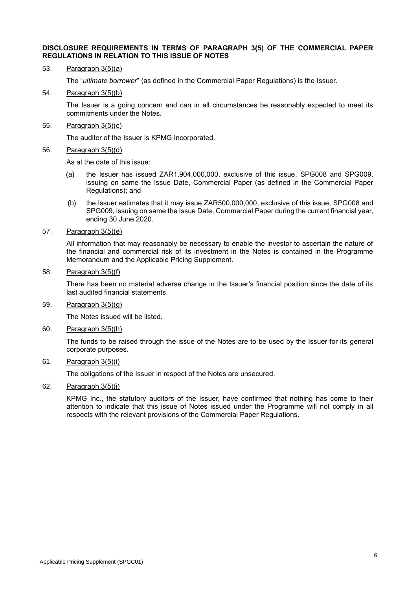### **DISCLOSURE REQUIREMENTS IN TERMS OF PARAGRAPH 3(5) OF THE COMMERCIAL PAPER REGULATIONS IN RELATION TO THIS ISSUE OF NOTES**

53. Paragraph 3(5)(a)

The "*ultimate borrower*" (as defined in the Commercial Paper Regulations) is the Issuer.

54. Paragraph 3(5)(b)

The Issuer is a going concern and can in all circumstances be reasonably expected to meet its commitments under the Notes.

55. Paragraph 3(5)(c)

The auditor of the Issuer is KPMG Incorporated.

56. Paragraph 3(5)(d)

As at the date of this issue:

- (a) the Issuer has issued ZAR1,904,000,000, exclusive of this issue, SPG008 and SPG009, issuing on same the Issue Date, Commercial Paper (as defined in the Commercial Paper Regulations); and
- (b) the Issuer estimates that it may issue ZAR500,000,000, exclusive of this issue, SPG008 and SPG009, issuing on same the Issue Date, Commercial Paper during the current financial year, ending 30 June 2020.
- 57. Paragraph 3(5)(e)

All information that may reasonably be necessary to enable the investor to ascertain the nature of the financial and commercial risk of its investment in the Notes is contained in the Programme Memorandum and the Applicable Pricing Supplement.

58. Paragraph 3(5)(f)

There has been no material adverse change in the Issuer's financial position since the date of its last audited financial statements.

59. Paragraph 3(5)(g)

The Notes issued will be listed.

60. Paragraph 3(5)(h)

The funds to be raised through the issue of the Notes are to be used by the Issuer for its general corporate purposes.

61. Paragraph 3(5)(i)

The obligations of the Issuer in respect of the Notes are unsecured.

62. Paragraph  $3(5)(i)$ 

KPMG Inc., the statutory auditors of the Issuer, have confirmed that nothing has come to their attention to indicate that this issue of Notes issued under the Programme will not comply in all respects with the relevant provisions of the Commercial Paper Regulations.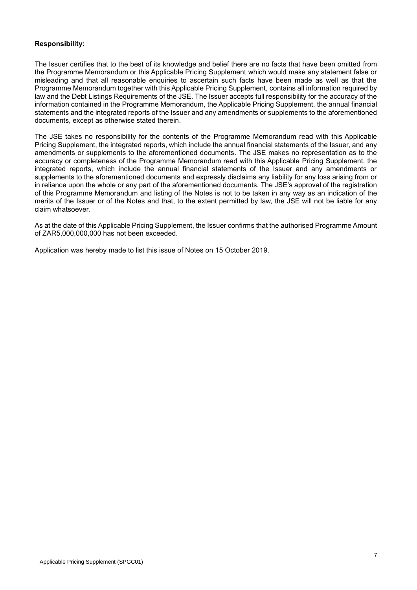# **Responsibility:**

The Issuer certifies that to the best of its knowledge and belief there are no facts that have been omitted from the Programme Memorandum or this Applicable Pricing Supplement which would make any statement false or misleading and that all reasonable enquiries to ascertain such facts have been made as well as that the Programme Memorandum together with this Applicable Pricing Supplement, contains all information required by law and the Debt Listings Requirements of the JSE. The Issuer accepts full responsibility for the accuracy of the information contained in the Programme Memorandum, the Applicable Pricing Supplement, the annual financial statements and the integrated reports of the Issuer and any amendments or supplements to the aforementioned documents, except as otherwise stated therein.

The JSE takes no responsibility for the contents of the Programme Memorandum read with this Applicable Pricing Supplement, the integrated reports, which include the annual financial statements of the Issuer, and any amendments or supplements to the aforementioned documents. The JSE makes no representation as to the accuracy or completeness of the Programme Memorandum read with this Applicable Pricing Supplement, the integrated reports, which include the annual financial statements of the Issuer and any amendments or supplements to the aforementioned documents and expressly disclaims any liability for any loss arising from or in reliance upon the whole or any part of the aforementioned documents. The JSE's approval of the registration of this Programme Memorandum and listing of the Notes is not to be taken in any way as an indication of the merits of the Issuer or of the Notes and that, to the extent permitted by law, the JSE will not be liable for any claim whatsoever.

As at the date of this Applicable Pricing Supplement, the Issuer confirms that the authorised Programme Amount of ZAR5,000,000,000 has not been exceeded.

Application was hereby made to list this issue of Notes on 15 October 2019.